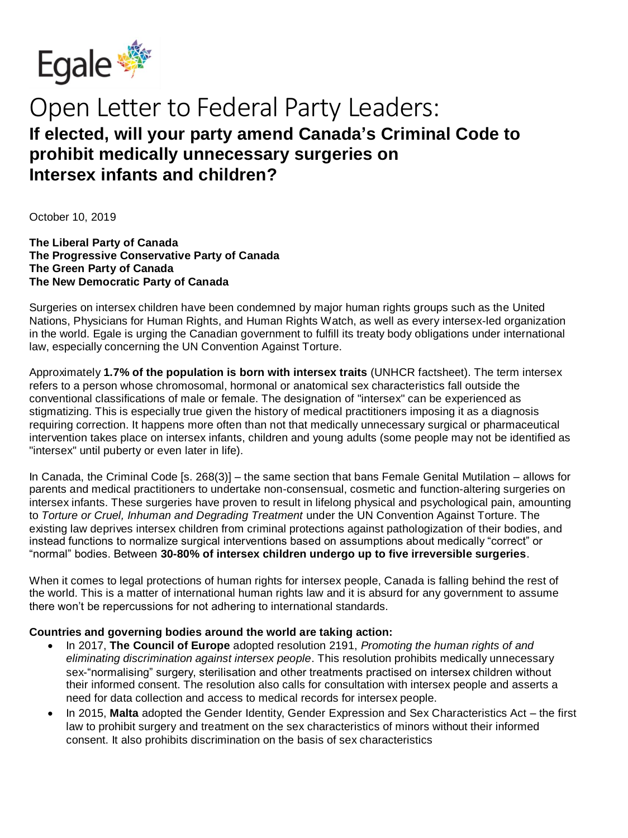

## Open Letter to Federal Party Leaders: **If elected, will your party amend Canada's Criminal Code to prohibit medically unnecessary surgeries on Intersex infants and children?**

October 10, 2019

**The Liberal Party of Canada The Progressive Conservative Party of Canada The Green Party of Canada The New Democratic Party of Canada**

Surgeries on intersex children have been condemned by major human rights groups such as the United Nations, Physicians for Human Rights, and Human Rights Watch, as well as every intersex-led organization in the world. Egale is urging the Canadian government to fulfill its treaty body obligations under international law, especially concerning the UN Convention Against Torture.

Approximately **1.7% of the population is born with intersex traits** (UNHCR factsheet). The term intersex refers to a person whose chromosomal, hormonal or anatomical sex characteristics fall outside the conventional classifications of male or female. The designation of "intersex" can be experienced as stigmatizing. This is especially true given the history of medical practitioners imposing it as a diagnosis requiring correction. It happens more often than not that medically unnecessary surgical or pharmaceutical intervention takes place on intersex infants, children and young adults (some people may not be identified as "intersex" until puberty or even later in life).

In Canada, the Criminal Code [s. 268(3)] – the same section that bans Female Genital Mutilation – allows for parents and medical practitioners to undertake non-consensual, cosmetic and function-altering surgeries on intersex infants. These surgeries have proven to result in lifelong physical and psychological pain, amounting to *Torture or Cruel, Inhuman and Degrading Treatment* under the UN Convention Against Torture. The existing law deprives intersex children from criminal protections against pathologization of their bodies, and instead functions to normalize surgical interventions based on assumptions about medically "correct" or "normal" bodies. Between **30-80% of intersex children undergo up to five irreversible surgeries**.

When it comes to legal protections of human rights for intersex people, Canada is falling behind the rest of the world. This is a matter of international human rights law and it is absurd for any government to assume there won't be repercussions for not adhering to international standards.

## **Countries and governing bodies around the world are taking action:**

- In 2017, **The Council of Europe** adopted resolution 2191, *Promoting the human rights of and eliminating discrimination against intersex people*. This resolution prohibits medically unnecessary sex-"normalising" surgery, sterilisation and other treatments practised on intersex children without their informed consent. The resolution also calls for consultation with intersex people and asserts a need for data collection and access to medical records for intersex people.
- In 2015, **Malta** adopted the Gender Identity, Gender Expression and Sex Characteristics Act the first law to prohibit surgery and treatment on the sex characteristics of minors without their informed consent. It also prohibits discrimination on the basis of sex characteristics